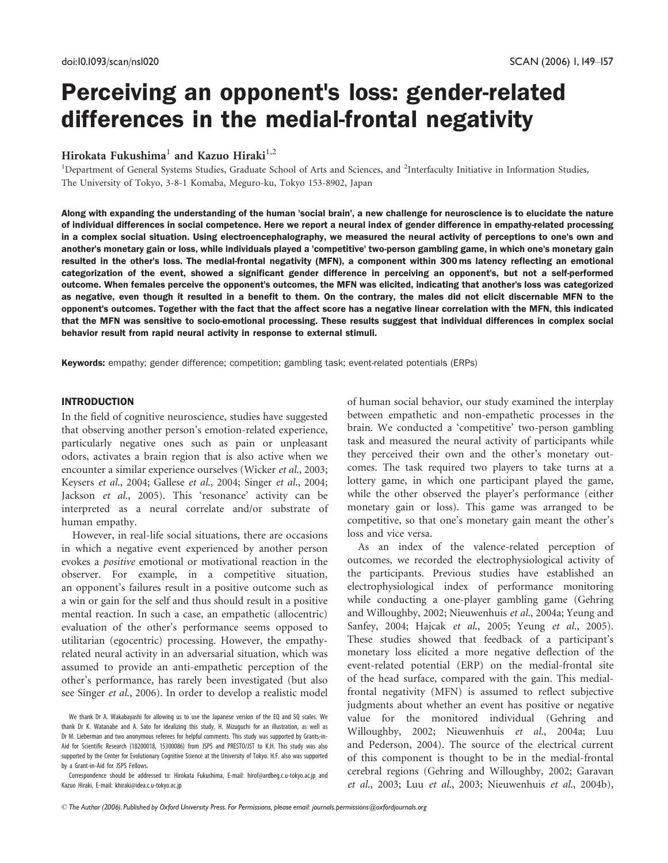# Perceiving an opponent's loss: gender-related differences in the medial-frontal negativity

# Hirokata Fukushima<sup>1</sup> and Kazuo Hiraki<sup>1,2</sup>

<sup>1</sup>Department of General Systems Studies, Graduate School of Arts and Sciences, and <sup>2</sup>Interfaculty Initiative in Information Studies, The University of Tokyo, 3-8-1 Komaba, Meguro-ku, Tokyo 153-8902, Japan

Along with expanding the understanding of the human 'social brain', a new challenge for neuroscience is to elucidate the nature of individual differences in social competence. Here we report a neural index of gender difference in empathy-related processing in a complex social situation. Using electroencephalography, we measured the neural activity of perceptions to one's own and another's monetary gain or loss, while individuals played a 'competitive' two-person gambling game, in which one's monetary gain resulted in the other's loss. The medial-frontal negativity (MFN), a component within 300 ms latency reflecting an emotional categorization of the event, showed a significant gender difference in perceiving an opponent's, but not a self-performed outcome. When females perceive the opponent's outcomes, the MFN was elicited, indicating that another's loss was categorized as negative, even though it resulted in a benefit to them. On the contrary, the males did not elicit discernable MFN to the opponent's outcomes. Together with the fact that the affect score has a negative linear correlation with the MFN, this indicated that the MFN was sensitive to socio-emotional processing. These results suggest that individual differences in complex social behavior result from rapid neural activity in response to external stimuli.

Keywords: empathy; gender difference; competition; gambling task; event-related potentials (ERPs)

# INTRODUCTION

In the field of cognitive neuroscience, studies have suggested that observing another person's emotion-related experience, particularly negative ones such as pain or unpleasant odors, activates a brain region that is also active when we encounter a similar experience ourselves (Wicker et al., 2003; Keysers et al., 2004; Gallese et al., 2004; Singer et al., 2004; Jackson et al., 2005). This 'resonance' activity can be interpreted as a neural correlate and/or substrate of human empathy.

However, in real-life social situations, there are occasions in which a negative event experienced by another person evokes a positive emotional or motivational reaction in the observer. For example, in a competitive situation, an opponent's failures result in a positive outcome such as a win or gain for the self and thus should result in a positive mental reaction. In such a case, an empathetic (allocentric) evaluation of the other's performance seems opposed to utilitarian (egocentric) processing. However, the empathyrelated neural activity in an adversarial situation, which was assumed to provide an anti-empathetic perception of the other's performance, has rarely been investigated (but also see Singer et al., 2006). In order to develop a realistic model

Correspondence should be addressed to: Hirokata Fukushima, E-mail: hirof@ardbeg.c.u-tokyo.ac.jp and Kazuo Hiraki, E-mail: khiraki@idea.c.u-tokyo.ac.jp

of human social behavior, our study examined the interplay between empathetic and non-empathetic processes in the brain. We conducted a 'competitive' two-person gambling task and measured the neural activity of participants while they perceived their own and the other's monetary outcomes. The task required two players to take turns at a lottery game, in which one participant played the game, while the other observed the player's performance (either monetary gain or loss). This game was arranged to be competitive, so that one's monetary gain meant the other's loss and vice versa.

As an index of the valence-related perception of outcomes, we recorded the electrophysiological activity of the participants. Previous studies have established an electrophysiological index of performance monitoring while conducting a one-player gambling game (Gehring and Willoughby, 2002; Nieuwenhuis et al., 2004a; Yeung and Sanfey, 2004; Hajcak et al., 2005; Yeung et al., 2005). These studies showed that feedback of a participant's monetary loss elicited a more negative deflection of the event-related potential (ERP) on the medial-frontal site of the head surface, compared with the gain. This medialfrontal negativity (MFN) is assumed to reflect subjective judgments about whether an event has positive or negative value for the monitored individual (Gehring and Willoughby, 2002; Nieuwenhuis et al., 2004a; Luu and Pederson, 2004). The source of the electrical current of this component is thought to be in the medial-frontal cerebral regions (Gehring and Willoughby, 2002; Garavan et al., 2003; Luu et al., 2003; Nieuwenhuis et al., 2004b),

We thank Dr A. Wakabayashi for allowing us to use the Japanese version of the EQ and SQ scales. We thank Dr K. Watanabe and A. Sato for idealizing this study, H. Mizuguchi for an illustration, as well as Dr M. Lieberman and two anonymous referees for helpful comments. This study was supported by Grants-in-Aid for Scientific Research (18200018, 15300086) from JSPS and PRESTO/JST to K.H. This study was also supported by the Center for Evolutionary Cognitive Science at the University of Tokyo. H.F. also was supported by a Grant-in-Aid for JSPS Fellows.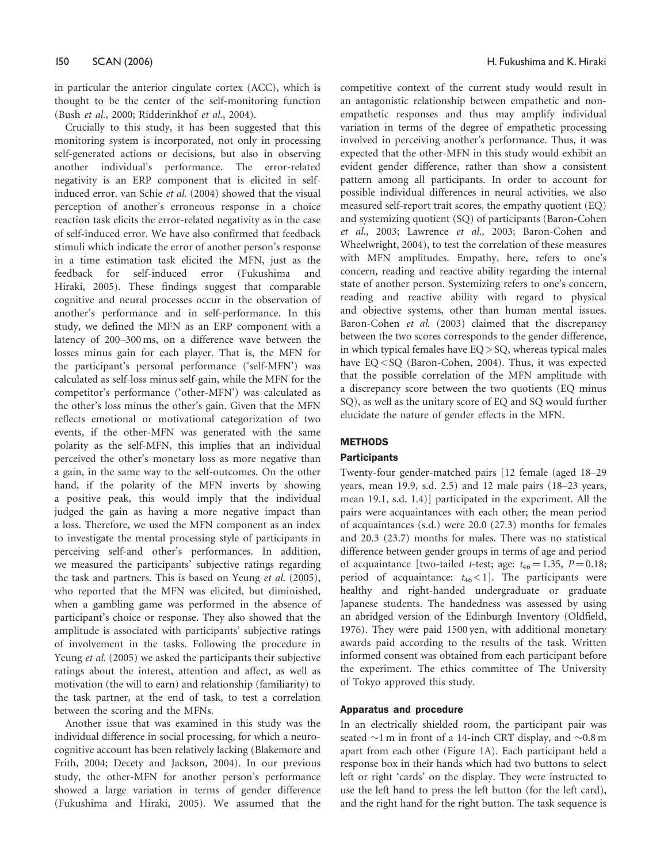in particular the anterior cingulate cortex (ACC), which is thought to be the center of the self-monitoring function (Bush et al., 2000; Ridderinkhof et al., 2004).

Crucially to this study, it has been suggested that this monitoring system is incorporated, not only in processing self-generated actions or decisions, but also in observing another individual's performance. The error-related negativity is an ERP component that is elicited in selfinduced error. van Schie et al. (2004) showed that the visual perception of another's erroneous response in a choice reaction task elicits the error-related negativity as in the case of self-induced error. We have also confirmed that feedback stimuli which indicate the error of another person's response in a time estimation task elicited the MFN, just as the feedback for self-induced error (Fukushima and Hiraki, 2005). These findings suggest that comparable cognitive and neural processes occur in the observation of another's performance and in self-performance. In this study, we defined the MFN as an ERP component with a latency of 200–300 ms, on a difference wave between the losses minus gain for each player. That is, the MFN for the participant's personal performance ('self-MFN') was calculated as self-loss minus self-gain, while the MFN for the competitor's performance ('other-MFN') was calculated as the other's loss minus the other's gain. Given that the MFN reflects emotional or motivational categorization of two events, if the other-MFN was generated with the same polarity as the self-MFN, this implies that an individual perceived the other's monetary loss as more negative than a gain, in the same way to the self-outcomes. On the other hand, if the polarity of the MFN inverts by showing a positive peak, this would imply that the individual judged the gain as having a more negative impact than a loss. Therefore, we used the MFN component as an index to investigate the mental processing style of participants in perceiving self-and other's performances. In addition, we measured the participants' subjective ratings regarding the task and partners. This is based on Yeung et al. (2005), who reported that the MFN was elicited, but diminished, when a gambling game was performed in the absence of participant's choice or response. They also showed that the amplitude is associated with participants' subjective ratings of involvement in the tasks. Following the procedure in Yeung et al. (2005) we asked the participants their subjective ratings about the interest, attention and affect, as well as motivation (the will to earn) and relationship (familiarity) to the task partner, at the end of task, to test a correlation between the scoring and the MFNs.

Another issue that was examined in this study was the individual difference in social processing, for which a neurocognitive account has been relatively lacking (Blakemore and Frith, 2004; Decety and Jackson, 2004). In our previous study, the other-MFN for another person's performance showed a large variation in terms of gender difference (Fukushima and Hiraki, 2005). We assumed that the

competitive context of the current study would result in an antagonistic relationship between empathetic and nonempathetic responses and thus may amplify individual variation in terms of the degree of empathetic processing involved in perceiving another's performance. Thus, it was expected that the other-MFN in this study would exhibit an evident gender difference, rather than show a consistent pattern among all participants. In order to account for possible individual differences in neural activities, we also measured self-report trait scores, the empathy quotient (EQ) and systemizing quotient (SQ) of participants (Baron-Cohen et al., 2003; Lawrence et al., 2003; Baron-Cohen and Wheelwright, 2004), to test the correlation of these measures with MFN amplitudes. Empathy, here, refers to one's concern, reading and reactive ability regarding the internal state of another person. Systemizing refers to one's concern, reading and reactive ability with regard to physical and objective systems, other than human mental issues. Baron-Cohen et al. (2003) claimed that the discrepancy between the two scores corresponds to the gender difference, in which typical females have  $EQ > SQ$ , whereas typical males have EQ < SQ (Baron-Cohen, 2004). Thus, it was expected that the possible correlation of the MFN amplitude with a discrepancy score between the two quotients (EQ minus SQ), as well as the unitary score of EQ and SQ would further elucidate the nature of gender effects in the MFN.

### **METHODS**

### **Participants**

Twenty-four gender-matched pairs [12 female (aged 18–29 years, mean 19.9, s.d. 2.5) and 12 male pairs (18–23 years, mean 19.1, s.d. 1.4)] participated in the experiment. All the pairs were acquaintances with each other; the mean period of acquaintances (s.d.) were 20.0 (27.3) months for females and 20.3 (23.7) months for males. There was no statistical difference between gender groups in terms of age and period of acquaintance [two-tailed t-test; age:  $t_{46} = 1.35$ ,  $P = 0.18$ ; period of acquaintance:  $t_{46}$ <1]. The participants were healthy and right-handed undergraduate or graduate Japanese students. The handedness was assessed by using an abridged version of the Edinburgh Inventory (Oldfield, 1976). They were paid 1500 yen, with additional monetary awards paid according to the results of the task. Written informed consent was obtained from each participant before the experiment. The ethics committee of The University of Tokyo approved this study.

## Apparatus and procedure

In an electrically shielded room, the participant pair was seated  $\sim$ 1 m in front of a 14-inch CRT display, and  $\sim$ 0.8 m apart from each other (Figure 1A). Each participant held a response box in their hands which had two buttons to select left or right 'cards' on the display. They were instructed to use the left hand to press the left button (for the left card), and the right hand for the right button. The task sequence is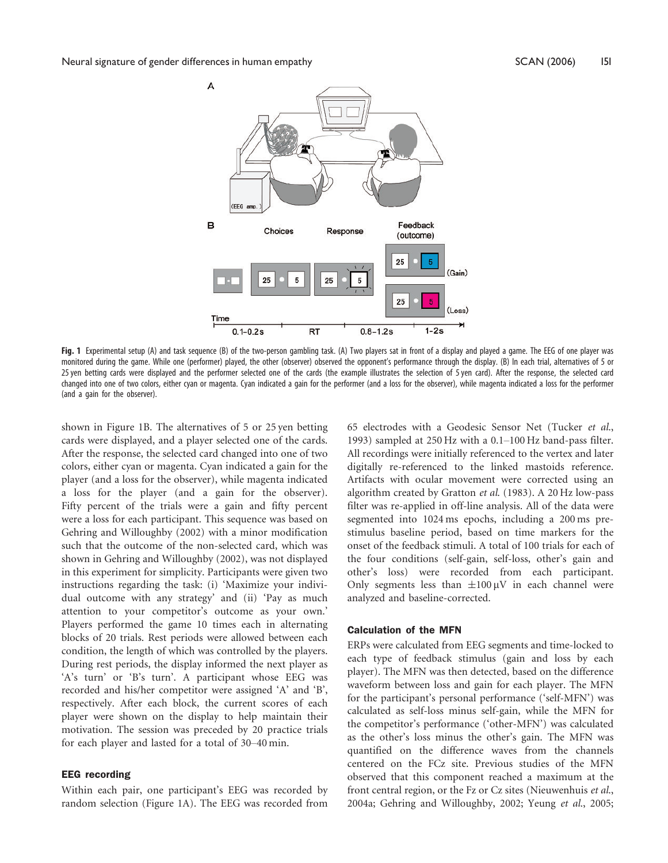Neural signature of gender differences in human empathy SCAN (2006) 151



Fig. 1 Experimental setup (A) and task sequence (B) of the two-person gambling task. (A) Two players sat in front of a display and played a game. The EEG of one player was monitored during the game. While one (performer) played, the other (observer) observed the opponent's performance through the display. (B) In each trial, alternatives of 5 or 25 yen betting cards were displayed and the performer selected one of the cards (the example illustrates the selection of 5 yen card). After the response, the selected card changed into one of two colors, either cyan or magenta. Cyan indicated a gain for the performer (and a loss for the observer), while magenta indicated a loss for the performer (and a gain for the observer).

shown in Figure 1B. The alternatives of 5 or 25 yen betting cards were displayed, and a player selected one of the cards. After the response, the selected card changed into one of two colors, either cyan or magenta. Cyan indicated a gain for the player (and a loss for the observer), while magenta indicated a loss for the player (and a gain for the observer). Fifty percent of the trials were a gain and fifty percent were a loss for each participant. This sequence was based on Gehring and Willoughby (2002) with a minor modification such that the outcome of the non-selected card, which was shown in Gehring and Willoughby (2002), was not displayed in this experiment for simplicity. Participants were given two instructions regarding the task: (i) 'Maximize your individual outcome with any strategy' and (ii) 'Pay as much attention to your competitor's outcome as your own.' Players performed the game 10 times each in alternating blocks of 20 trials. Rest periods were allowed between each condition, the length of which was controlled by the players. During rest periods, the display informed the next player as 'A's turn' or 'B's turn'. A participant whose EEG was recorded and his/her competitor were assigned 'A' and 'B', respectively. After each block, the current scores of each player were shown on the display to help maintain their motivation. The session was preceded by 20 practice trials for each player and lasted for a total of 30–40 min.

# EEG recording

Within each pair, one participant's EEG was recorded by random selection (Figure 1A). The EEG was recorded from 65 electrodes with a Geodesic Sensor Net (Tucker et al., 1993) sampled at 250 Hz with a 0.1–100 Hz band-pass filter. All recordings were initially referenced to the vertex and later digitally re-referenced to the linked mastoids reference. Artifacts with ocular movement were corrected using an algorithm created by Gratton et al. (1983). A 20 Hz low-pass filter was re-applied in off-line analysis. All of the data were segmented into 1024 ms epochs, including a 200 ms prestimulus baseline period, based on time markers for the onset of the feedback stimuli. A total of 100 trials for each of the four conditions (self-gain, self-loss, other's gain and other's loss) were recorded from each participant. Only segments less than  $\pm 100 \,\mu\text{V}$  in each channel were analyzed and baseline-corrected.

## Calculation of the MFN

ERPs were calculated from EEG segments and time-locked to each type of feedback stimulus (gain and loss by each player). The MFN was then detected, based on the difference waveform between loss and gain for each player. The MFN for the participant's personal performance ('self-MFN') was calculated as self-loss minus self-gain, while the MFN for the competitor's performance ('other-MFN') was calculated as the other's loss minus the other's gain. The MFN was quantified on the difference waves from the channels centered on the FCz site. Previous studies of the MFN observed that this component reached a maximum at the front central region, or the Fz or Cz sites (Nieuwenhuis et al., 2004a; Gehring and Willoughby, 2002; Yeung et al., 2005;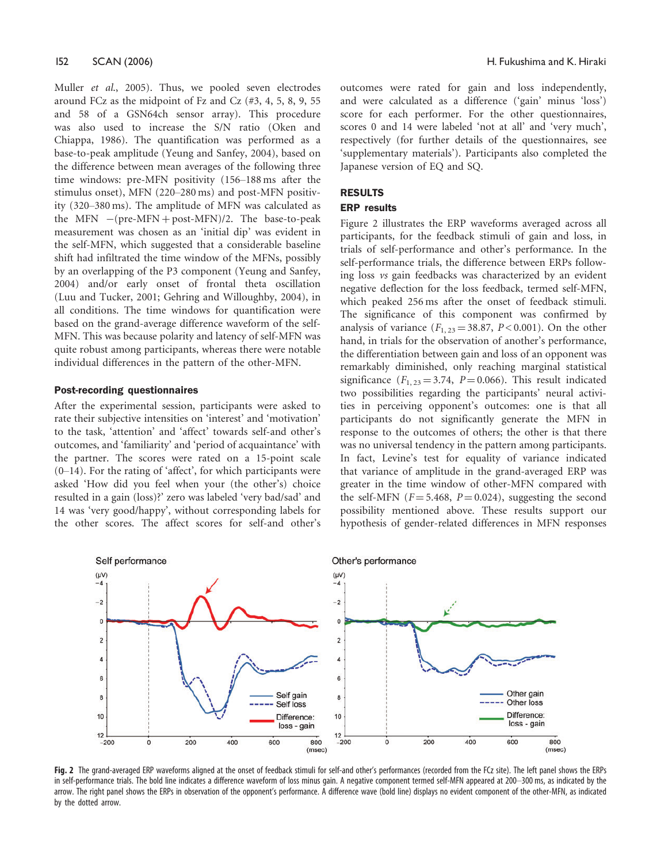Muller et al., 2005). Thus, we pooled seven electrodes around FCz as the midpoint of Fz and Cz (#3, 4, 5, 8, 9, 55 and 58 of a GSN64ch sensor array). This procedure was also used to increase the S/N ratio (Oken and Chiappa, 1986). The quantification was performed as a base-to-peak amplitude (Yeung and Sanfey, 2004), based on the difference between mean averages of the following three time windows: pre-MFN positivity (156–188 ms after the stimulus onset), MFN (220–280 ms) and post-MFN positivity (320–380 ms). The amplitude of MFN was calculated as the MFN  $-(\text{pre-MFN} + \text{post-MFN})/2$ . The base-to-peak measurement was chosen as an 'initial dip' was evident in the self-MFN, which suggested that a considerable baseline shift had infiltrated the time window of the MFNs, possibly by an overlapping of the P3 component (Yeung and Sanfey, 2004) and/or early onset of frontal theta oscillation (Luu and Tucker, 2001; Gehring and Willoughby, 2004), in all conditions. The time windows for quantification were based on the grand-average difference waveform of the self-MFN. This was because polarity and latency of self-MFN was quite robust among participants, whereas there were notable individual differences in the pattern of the other-MFN.

#### Post-recording questionnaires

After the experimental session, participants were asked to rate their subjective intensities on 'interest' and 'motivation' to the task, 'attention' and 'affect' towards self-and other's outcomes, and 'familiarity' and 'period of acquaintance' with the partner. The scores were rated on a 15-point scale (0–14). For the rating of 'affect', for which participants were asked 'How did you feel when your (the other's) choice resulted in a gain (loss)?' zero was labeled 'very bad/sad' and 14 was 'very good/happy', without corresponding labels for the other scores. The affect scores for self-and other's

outcomes were rated for gain and loss independently, and were calculated as a difference ('gain' minus 'loss') score for each performer. For the other questionnaires, scores 0 and 14 were labeled 'not at all' and 'very much', respectively (for further details of the questionnaires, see 'supplementary materials'). Participants also completed the Japanese version of EQ and SQ.

#### RESULTS

# ERP results

Figure 2 illustrates the ERP waveforms averaged across all participants, for the feedback stimuli of gain and loss, in trials of self-performance and other's performance. In the self-performance trials, the difference between ERPs following loss vs gain feedbacks was characterized by an evident negative deflection for the loss feedback, termed self-MFN, which peaked 256 ms after the onset of feedback stimuli. The significance of this component was confirmed by analysis of variance  $(F_{1, 23} = 38.87, P < 0.001)$ . On the other hand, in trials for the observation of another's performance, the differentiation between gain and loss of an opponent was remarkably diminished, only reaching marginal statistical significance  $(F_{1, 23} = 3.74, P = 0.066)$ . This result indicated two possibilities regarding the participants' neural activities in perceiving opponent's outcomes: one is that all participants do not significantly generate the MFN in response to the outcomes of others; the other is that there was no universal tendency in the pattern among participants. In fact, Levine's test for equality of variance indicated that variance of amplitude in the grand-averaged ERP was greater in the time window of other-MFN compared with the self-MFN ( $F = 5.468$ ,  $P = 0.024$ ), suggesting the second possibility mentioned above. These results support our hypothesis of gender-related differences in MFN responses



Fig. 2 The grand-averaged ERP waveforms aligned at the onset of feedback stimuli for self-and other's performances (recorded from the FCz site). The left panel shows the ERPs in self-performance trials. The bold line indicates a difference waveform of loss minus gain. A negative component termed self-MFN appeared at 200–300 ms, as indicated by the arrow. The right panel shows the ERPs in observation of the opponent's performance. A difference wave (bold line) displays no evident component of the other-MFN, as indicated by the dotted arrow.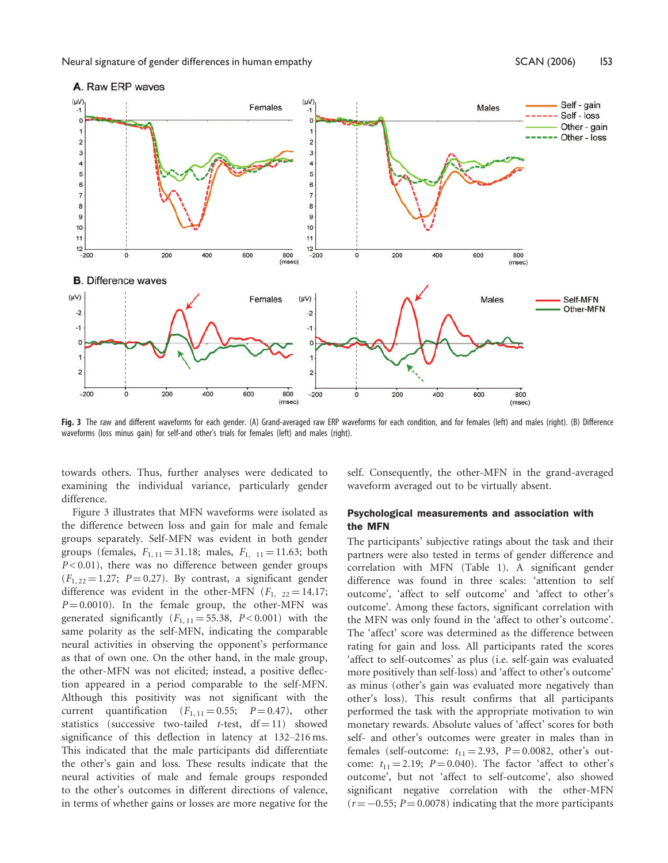

Fig. 3 The raw and different waveforms for each gender. (A) Grand-averaged raw ERP waveforms for each condition, and for females (left) and males (right). (B) Difference waveforms (loss minus gain) for self-and other's trials for females (left) and males (right).

towards others. Thus, further analyses were dedicated to examining the individual variance, particularly gender difference.

Figure 3 illustrates that MFN waveforms were isolated as the difference between loss and gain for male and female groups separately. Self-MFN was evident in both gender groups (females,  $F_{1, 11} = 31.18$ ; males,  $F_{1, 11} = 11.63$ ; both  $P < 0.01$ ), there was no difference between gender groups  $(F_{1, 22} = 1.27; P = 0.27)$ . By contrast, a significant gender difference was evident in the other-MFN  $(F_{1, 22} = 14.17;$  $P = 0.0010$ ). In the female group, the other-MFN was generated significantly  $(F_{1, 11} = 55.38, P < 0.001)$  with the same polarity as the self-MFN, indicating the comparable neural activities in observing the opponent's performance as that of own one. On the other hand, in the male group, the other-MFN was not elicited; instead, a positive deflection appeared in a period comparable to the self-MFN. Although this positivity was not significant with the current quantification  $(F_{1, 11} = 0.55; P = 0.47)$ , other statistics (successive two-tailed *t*-test,  $df = 11$ ) showed significance of this deflection in latency at 132–216 ms. This indicated that the male participants did differentiate the other's gain and loss. These results indicate that the neural activities of male and female groups responded to the other's outcomes in different directions of valence, in terms of whether gains or losses are more negative for the

self. Consequently, the other-MFN in the grand-averaged waveform averaged out to be virtually absent.

# Psychological measurements and association with the MFN

The participants' subjective ratings about the task and their partners were also tested in terms of gender difference and correlation with MFN (Table 1). A significant gender difference was found in three scales: 'attention to self outcome', 'affect to self outcome' and 'affect to other's outcome'. Among these factors, significant correlation with the MFN was only found in the 'affect to other's outcome'. The 'affect' score was determined as the difference between rating for gain and loss. All participants rated the scores 'affect to self-outcomes' as plus (i.e. self-gain was evaluated more positively than self-loss) and 'affect to other's outcome' as minus (other's gain was evaluated more negatively than other's loss). This result confirms that all participants performed the task with the appropriate motivation to win monetary rewards. Absolute values of 'affect' scores for both self- and other's outcomes were greater in males than in females (self-outcome:  $t_{11} = 2.93$ ,  $P = 0.0082$ , other's outcome:  $t_{11} = 2.19$ ;  $P = 0.040$ ). The factor 'affect to other's outcome', but not 'affect to self-outcome', also showed significant negative correlation with the other-MFN  $(r = -0.55; P = 0.0078)$  indicating that the more participants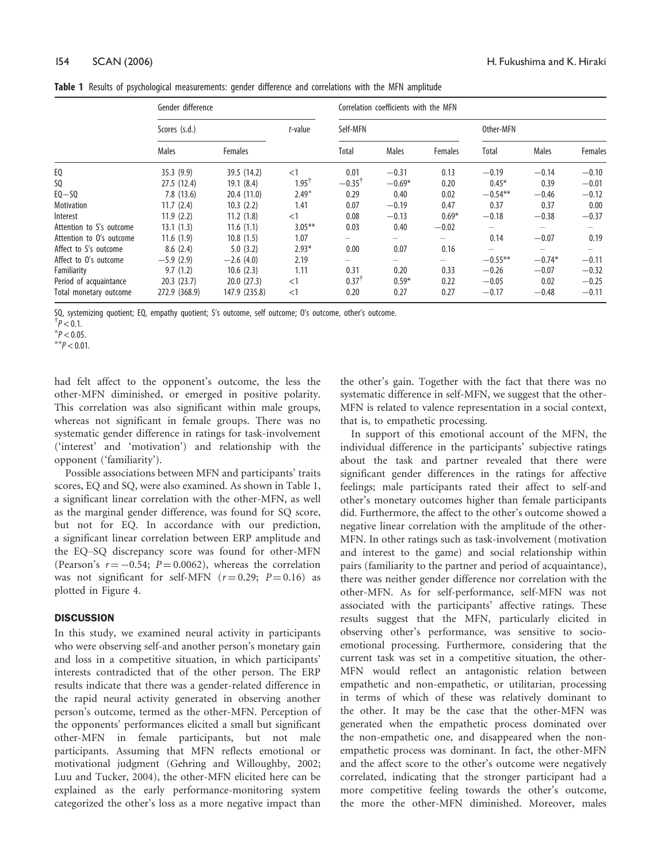|  |  |  | Table 1 Results of psychological measurements: gender difference and correlations with the MFN amplitude |  |  |  |  |  |  |  |  |  |
|--|--|--|----------------------------------------------------------------------------------------------------------|--|--|--|--|--|--|--|--|--|
|--|--|--|----------------------------------------------------------------------------------------------------------|--|--|--|--|--|--|--|--|--|

|                          | Gender difference | Correlation coefficients with the MFN |                     |                      |              |                |           |          |         |
|--------------------------|-------------------|---------------------------------------|---------------------|----------------------|--------------|----------------|-----------|----------|---------|
|                          | Scores (s.d.)     |                                       | t-value             | Self-MFN             |              |                | Other-MFN |          |         |
|                          | Males             | Females                               |                     | Total                | <b>Males</b> | <b>Females</b> | Total     | Males    | Females |
| EQ                       | 35.3(9.9)         | 39.5 (14.2)                           | <1                  | 0.01                 | $-0.31$      | 0.13           | $-0.19$   | $-0.14$  | $-0.10$ |
| SQ                       | 27.5(12.4)        | 19.1(8.4)                             | $1.95$ <sup>T</sup> | $-0.35$ <sup>†</sup> | $-0.69*$     | 0.20           | $0.45*$   | 0.39     | $-0.01$ |
| $E0 - S0$                | 7.8(13.6)         | 20.4(11.0)                            | $2.49*$             | 0.29                 | 0.40         | 0.02           | $-0.54**$ | $-0.46$  | $-0.12$ |
| <b>Motivation</b>        | 11.7(2.4)         | 10.3(2.2)                             | 1.41                | 0.07                 | $-0.19$      | 0.47           | 0.37      | 0.37     | 0.00    |
| Interest                 | 11.9(2.2)         | 11.2(1.8)                             | $<$ 1               | 0.08                 | $-0.13$      | $0.69*$        | $-0.18$   | $-0.38$  | $-0.37$ |
| Attention to S's outcome | 13.1(1.3)         | 11.6(1.1)                             | $3.05***$           | 0.03                 | 0.40         | $-0.02$        |           |          |         |
| Attention to O's outcome | 11.6(1.9)         | 10.8(1.5)                             | 1.07                |                      |              |                | 0.14      | $-0.07$  | 0.19    |
| Affect to S's outcome    | 8.6(2.4)          | 5.0(3.2)                              | $2.93*$             | 0.00                 | 0.07         | 0.16           |           |          |         |
| Affect to O's outcome    | $-5.9(2.9)$       | $-2.6(4.0)$                           | 2.19                |                      |              |                | $-0.55**$ | $-0.74*$ | $-0.11$ |
| Familiarity              | 9.7(1.2)          | 10.6(2.3)                             | 1.11                | 0.31                 | 0.20         | 0.33           | $-0.26$   | $-0.07$  | $-0.32$ |
| Period of acquaintance   | 20.3(23.7)        | 20.0(27.3)                            | <1                  | $0.37$ <sup>1</sup>  | $0.59*$      | 0.22           | $-0.05$   | 0.02     | $-0.25$ |
| Total monetary outcome   | 272.9 (368.9)     | 147.9 (235.8)                         | <1                  | 0.20                 | 0.27         | 0.27           | $-0.17$   | $-0.48$  | $-0.11$ |

SQ, systemizing quotient; EQ, empathy quotient; S's outcome, self outcome; O's outcome, other's outcome.

had felt affect to the opponent's outcome, the less the other-MFN diminished, or emerged in positive polarity. This correlation was also significant within male groups, whereas not significant in female groups. There was no systematic gender difference in ratings for task-involvement ('interest' and 'motivation') and relationship with the opponent ('familiarity').

Possible associations between MFN and participants' traits scores, EQ and SQ, were also examined. As shown in Table 1, a significant linear correlation with the other-MFN, as well as the marginal gender difference, was found for SQ score, but not for EQ. In accordance with our prediction, a significant linear correlation between ERP amplitude and the EQ–SQ discrepancy score was found for other-MFN (Pearson's  $r = -0.54$ ;  $P = 0.0062$ ), whereas the correlation was not significant for self-MFN  $(r=0.29; P=0.16)$  as plotted in Figure 4.

# **DISCUSSION**

In this study, we examined neural activity in participants who were observing self-and another person's monetary gain and loss in a competitive situation, in which participants' interests contradicted that of the other person. The ERP results indicate that there was a gender-related difference in the rapid neural activity generated in observing another person's outcome, termed as the other-MFN. Perception of the opponents' performances elicited a small but significant other-MFN in female participants, but not male participants. Assuming that MFN reflects emotional or motivational judgment (Gehring and Willoughby, 2002; Luu and Tucker, 2004), the other-MFN elicited here can be explained as the early performance-monitoring system categorized the other's loss as a more negative impact than

the other's gain. Together with the fact that there was no systematic difference in self-MFN, we suggest that the other-MFN is related to valence representation in a social context, that is, to empathetic processing.

In support of this emotional account of the MFN, the individual difference in the participants' subjective ratings about the task and partner revealed that there were significant gender differences in the ratings for affective feelings; male participants rated their affect to self-and other's monetary outcomes higher than female participants did. Furthermore, the affect to the other's outcome showed a negative linear correlation with the amplitude of the other-MFN. In other ratings such as task-involvement (motivation and interest to the game) and social relationship within pairs (familiarity to the partner and period of acquaintance), there was neither gender difference nor correlation with the other-MFN. As for self-performance, self-MFN was not associated with the participants' affective ratings. These results suggest that the MFN, particularly elicited in observing other's performance, was sensitive to socioemotional processing. Furthermore, considering that the current task was set in a competitive situation, the other-MFN would reflect an antagonistic relation between empathetic and non-empathetic, or utilitarian, processing in terms of which of these was relatively dominant to the other. It may be the case that the other-MFN was generated when the empathetic process dominated over the non-empathetic one, and disappeared when the nonempathetic process was dominant. In fact, the other-MFN and the affect score to the other's outcome were negatively correlated, indicating that the stronger participant had a more competitive feeling towards the other's outcome, the more the other-MFN diminished. Moreover, males

 $\bar{P}$  < 0.1.<br>\*  $P$  < 0.0.

 $P < 0.05$ .<br>\*\* $P < 0.01$ .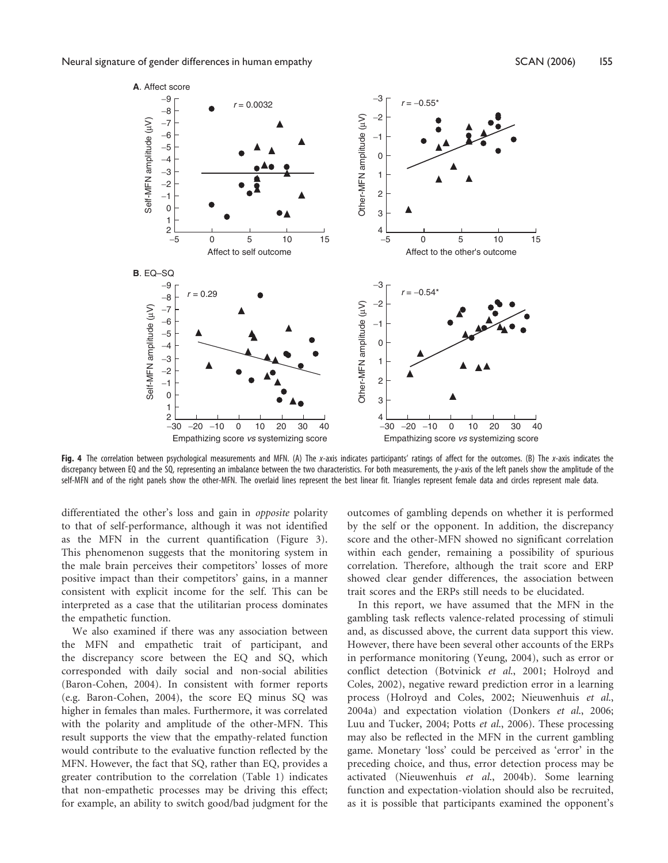

Fig. 4 The correlation between psychological measurements and MFN. (A) The x-axis indicates participants' ratings of affect for the outcomes. (B) The x-axis indicates the discrepancy between EQ and the SQ, representing an imbalance between the two characteristics. For both measurements, the y-axis of the left panels show the amplitude of the self-MFN and of the right panels show the other-MFN. The overlaid lines represent the best linear fit. Triangles represent female data and circles represent male data.

differentiated the other's loss and gain in opposite polarity to that of self-performance, although it was not identified as the MFN in the current quantification (Figure 3). This phenomenon suggests that the monitoring system in the male brain perceives their competitors' losses of more positive impact than their competitors' gains, in a manner consistent with explicit income for the self. This can be interpreted as a case that the utilitarian process dominates the empathetic function.

We also examined if there was any association between the MFN and empathetic trait of participant, and the discrepancy score between the EQ and SQ, which corresponded with daily social and non-social abilities (Baron-Cohen, 2004). In consistent with former reports (e.g. Baron-Cohen, 2004), the score EQ minus SQ was higher in females than males. Furthermore, it was correlated with the polarity and amplitude of the other-MFN. This result supports the view that the empathy-related function would contribute to the evaluative function reflected by the MFN. However, the fact that SQ, rather than EQ, provides a greater contribution to the correlation (Table 1) indicates that non-empathetic processes may be driving this effect; for example, an ability to switch good/bad judgment for the

outcomes of gambling depends on whether it is performed by the self or the opponent. In addition, the discrepancy score and the other-MFN showed no significant correlation within each gender, remaining a possibility of spurious correlation. Therefore, although the trait score and ERP showed clear gender differences, the association between trait scores and the ERPs still needs to be elucidated.

In this report, we have assumed that the MFN in the gambling task reflects valence-related processing of stimuli and, as discussed above, the current data support this view. However, there have been several other accounts of the ERPs in performance monitoring (Yeung, 2004), such as error or conflict detection (Botvinick et al., 2001; Holroyd and Coles, 2002), negative reward prediction error in a learning process (Holroyd and Coles, 2002; Nieuwenhuis et al., 2004a) and expectation violation (Donkers et al., 2006; Luu and Tucker, 2004; Potts et al., 2006). These processing may also be reflected in the MFN in the current gambling game. Monetary 'loss' could be perceived as 'error' in the preceding choice, and thus, error detection process may be activated (Nieuwenhuis et al., 2004b). Some learning function and expectation-violation should also be recruited, as it is possible that participants examined the opponent's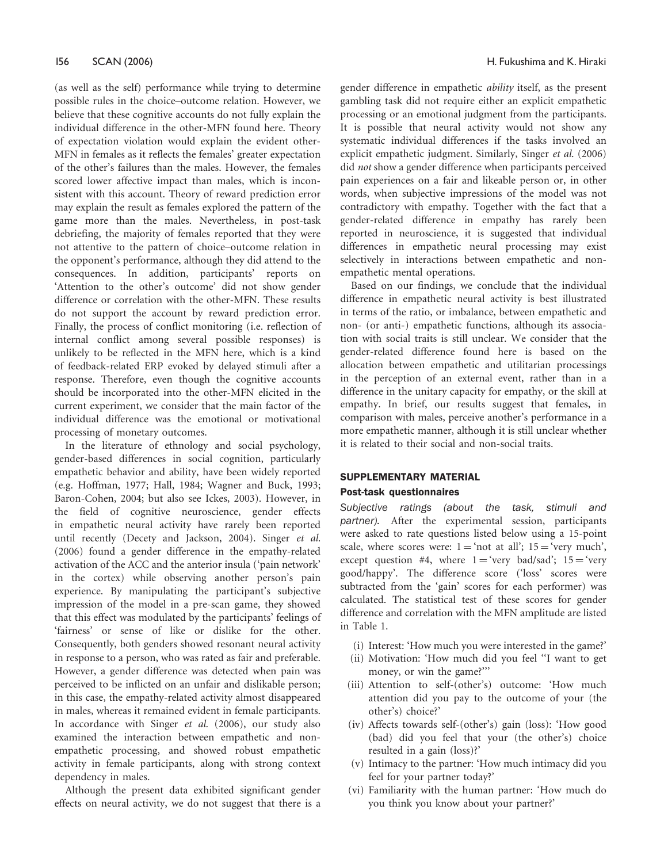(as well as the self) performance while trying to determine possible rules in the choice–outcome relation. However, we believe that these cognitive accounts do not fully explain the individual difference in the other-MFN found here. Theory of expectation violation would explain the evident other-MFN in females as it reflects the females' greater expectation of the other's failures than the males. However, the females scored lower affective impact than males, which is inconsistent with this account. Theory of reward prediction error may explain the result as females explored the pattern of the game more than the males. Nevertheless, in post-task debriefing, the majority of females reported that they were not attentive to the pattern of choice–outcome relation in the opponent's performance, although they did attend to the consequences. In addition, participants' reports on 'Attention to the other's outcome' did not show gender difference or correlation with the other-MFN. These results do not support the account by reward prediction error. Finally, the process of conflict monitoring (i.e. reflection of internal conflict among several possible responses) is unlikely to be reflected in the MFN here, which is a kind of feedback-related ERP evoked by delayed stimuli after a response. Therefore, even though the cognitive accounts should be incorporated into the other-MFN elicited in the current experiment, we consider that the main factor of the individual difference was the emotional or motivational processing of monetary outcomes.

In the literature of ethnology and social psychology, gender-based differences in social cognition, particularly empathetic behavior and ability, have been widely reported (e.g. Hoffman, 1977; Hall, 1984; Wagner and Buck, 1993; Baron-Cohen, 2004; but also see Ickes, 2003). However, in the field of cognitive neuroscience, gender effects in empathetic neural activity have rarely been reported until recently (Decety and Jackson, 2004). Singer et al. (2006) found a gender difference in the empathy-related activation of the ACC and the anterior insula ('pain network' in the cortex) while observing another person's pain experience. By manipulating the participant's subjective impression of the model in a pre-scan game, they showed that this effect was modulated by the participants' feelings of 'fairness' or sense of like or dislike for the other. Consequently, both genders showed resonant neural activity in response to a person, who was rated as fair and preferable. However, a gender difference was detected when pain was perceived to be inflicted on an unfair and dislikable person; in this case, the empathy-related activity almost disappeared in males, whereas it remained evident in female participants. In accordance with Singer et al. (2006), our study also examined the interaction between empathetic and nonempathetic processing, and showed robust empathetic activity in female participants, along with strong context dependency in males.

Although the present data exhibited significant gender effects on neural activity, we do not suggest that there is a

gender difference in empathetic ability itself, as the present gambling task did not require either an explicit empathetic processing or an emotional judgment from the participants. It is possible that neural activity would not show any systematic individual differences if the tasks involved an explicit empathetic judgment. Similarly, Singer et al. (2006) did not show a gender difference when participants perceived pain experiences on a fair and likeable person or, in other words, when subjective impressions of the model was not contradictory with empathy. Together with the fact that a gender-related difference in empathy has rarely been reported in neuroscience, it is suggested that individual differences in empathetic neural processing may exist selectively in interactions between empathetic and nonempathetic mental operations.

Based on our findings, we conclude that the individual difference in empathetic neural activity is best illustrated in terms of the ratio, or imbalance, between empathetic and non- (or anti-) empathetic functions, although its association with social traits is still unclear. We consider that the gender-related difference found here is based on the allocation between empathetic and utilitarian processings in the perception of an external event, rather than in a difference in the unitary capacity for empathy, or the skill at empathy. In brief, our results suggest that females, in comparison with males, perceive another's performance in a more empathetic manner, although it is still unclear whether it is related to their social and non-social traits.

# SUPPLEMENTARY MATERIAL

#### Post-task questionnaires

Subjective ratings (about the task, stimuli and partner). After the experimental session, participants were asked to rate questions listed below using a 15-point scale, where scores were:  $1 = 'not$  at all';  $15 = 'very$  much', except question #4, where  $1 = 'very$  bad/sad';  $15 = 'very$ good/happy'. The difference score ('loss' scores were subtracted from the 'gain' scores for each performer) was calculated. The statistical test of these scores for gender difference and correlation with the MFN amplitude are listed in Table 1.

- (i) Interest: 'How much you were interested in the game?'
- (ii) Motivation: 'How much did you feel ''I want to get money, or win the game?'''
- (iii) Attention to self-(other's) outcome: 'How much attention did you pay to the outcome of your (the other's) choice?'
- (iv) Affects towards self-(other's) gain (loss): 'How good (bad) did you feel that your (the other's) choice resulted in a gain (loss)?'
- (v) Intimacy to the partner: 'How much intimacy did you feel for your partner today?'
- (vi) Familiarity with the human partner: 'How much do you think you know about your partner?'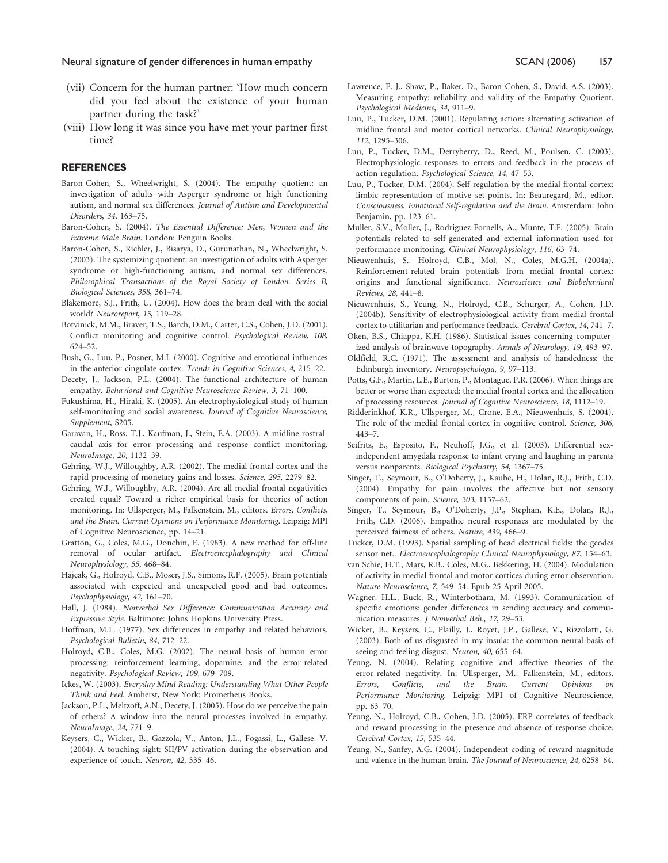#### Neural signature of gender differences in human empathy SCAN (2006) 157

- (vii) Concern for the human partner: 'How much concern did you feel about the existence of your human partner during the task?'
- (viii) How long it was since you have met your partner first time?

#### REFERENCES

- Baron-Cohen, S., Wheelwright, S. (2004). The empathy quotient: an investigation of adults with Asperger syndrome or high functioning autism, and normal sex differences. Journal of Autism and Developmental Disorders, 34, 163–75.
- Baron-Cohen, S. (2004). The Essential Difference: Men, Women and the Extreme Male Brain. London: Penguin Books.
- Baron-Cohen, S., Richler, J., Bisarya, D., Gurunathan, N., Wheelwright, S. (2003). The systemizing quotient: an investigation of adults with Asperger syndrome or high-functioning autism, and normal sex differences. Philosophical Transactions of the Royal Society of London. Series B, Biological Sciences, 358, 361–74.
- Blakemore, S.J., Frith, U. (2004). How does the brain deal with the social world? Neuroreport, 15, 119–28.
- Botvinick, M.M., Braver, T.S., Barch, D.M., Carter, C.S., Cohen, J.D. (2001). Conflict monitoring and cognitive control. Psychological Review, 108, 624–52.
- Bush, G., Luu, P., Posner, M.I. (2000). Cognitive and emotional influences in the anterior cingulate cortex. Trends in Cognitive Sciences, 4, 215–22.
- Decety, J., Jackson, P.L. (2004). The functional architecture of human empathy. Behavioral and Cognitive Neuroscience Review, 3, 71–100.
- Fukushima, H., Hiraki, K. (2005). An electrophysiological study of human self-monitoring and social awareness. Journal of Cognitive Neuroscience, Supplement, S205.
- Garavan, H., Ross, T.J., Kaufman, J., Stein, E.A. (2003). A midline rostralcaudal axis for error processing and response conflict monitoring. NeuroImage, 20, 1132–39.
- Gehring, W.J., Willoughby, A.R. (2002). The medial frontal cortex and the rapid processing of monetary gains and losses. Science, 295, 2279–82.
- Gehring, W.J., Willoughby, A.R. (2004). Are all medial frontal negativities created equal? Toward a richer empirical basis for theories of action monitoring. In: Ullsperger, M., Falkenstein, M., editors. Errors, Conflicts, and the Brain. Current Opinions on Performance Monitoring. Leipzig: MPI of Cognitive Neuroscience, pp. 14–21.
- Gratton, G., Coles, M.G., Donchin, E. (1983). A new method for off-line removal of ocular artifact. Electroencephalography and Clinical Neurophysiology, 55, 468–84.
- Hajcak, G., Holroyd, C.B., Moser, J.S., Simons, R.F. (2005). Brain potentials associated with expected and unexpected good and bad outcomes. Psychophysiology, 42, 161–70.
- Hall, J. (1984). Nonverbal Sex Difference: Communication Accuracy and Expressive Style. Baltimore: Johns Hopkins University Press.
- Hoffman, M.L. (1977). Sex differences in empathy and related behaviors. Psychological Bulletin, 84, 712–22.
- Holroyd, C.B., Coles, M.G. (2002). The neural basis of human error processing: reinforcement learning, dopamine, and the error-related negativity. Psychological Review, 109, 679–709.
- Ickes, W. (2003). Everyday Mind Reading: Understanding What Other People Think and Feel. Amherst, New York: Prometheus Books.
- Jackson, P.L., Meltzoff, A.N., Decety, J. (2005). How do we perceive the pain of others? A window into the neural processes involved in empathy. NeuroImage, 24, 771–9.
- Keysers, C., Wicker, B., Gazzola, V., Anton, J.L., Fogassi, L., Gallese, V. (2004). A touching sight: SII/PV activation during the observation and experience of touch. Neuron, 42, 335–46.
- Lawrence, E. J., Shaw, P., Baker, D., Baron-Cohen, S., David, A.S. (2003). Measuring empathy: reliability and validity of the Empathy Quotient. Psychological Medicine, 34, 911–9.
- Luu, P., Tucker, D.M. (2001). Regulating action: alternating activation of midline frontal and motor cortical networks. Clinical Neurophysiology, 112, 1295–306.
- Luu, P., Tucker, D.M., Derryberry, D., Reed, M., Poulsen, C. (2003). Electrophysiologic responses to errors and feedback in the process of action regulation. Psychological Science, 14, 47–53.
- Luu, P., Tucker, D.M. (2004). Self-regulation by the medial frontal cortex: limbic representation of motive set-points. In: Beauregard, M., editor. Consciousness, Emotional Self-regulation and the Brain. Amsterdam: John Benjamin, pp. 123–61.
- Muller, S.V., Moller, J., Rodriguez-Fornells, A., Munte, T.F. (2005). Brain potentials related to self-generated and external information used for performance monitoring. Clinical Neurophysiology, 116, 63–74.
- Nieuwenhuis, S., Holroyd, C.B., Mol, N., Coles, M.G.H. (2004a). Reinforcement-related brain potentials from medial frontal cortex: origins and functional significance. Neuroscience and Biobehavioral Reviews, 28, 441–8.
- Nieuwenhuis, S., Yeung, N., Holroyd, C.B., Schurger, A., Cohen, J.D. (2004b). Sensitivity of electrophysiological activity from medial frontal cortex to utilitarian and performance feedback. Cerebral Cortex, 14, 741–7.
- Oken, B.S., Chiappa, K.H. (1986). Statistical issues concerning computerized analysis of brainwave topography. Annals of Neurology, 19, 493–97.
- Oldfield, R.C. (1971). The assessment and analysis of handedness: the Edinburgh inventory. Neuropsychologia, 9, 97–113.
- Potts, G.F., Martin, L.E., Burton, P., Montague, P.R. (2006). When things are better or worse than expected: the medial frontal cortex and the allocation of processing resources. Journal of Cognitive Neuroscience, 18, 1112–19.
- Ridderinkhof, K.R., Ullsperger, M., Crone, E.A., Nieuwenhuis, S. (2004). The role of the medial frontal cortex in cognitive control. Science, 306, 443–7.
- Seifritz, E., Esposito, F., Neuhoff, J.G., et al. (2003). Differential sexindependent amygdala response to infant crying and laughing in parents versus nonparents. Biological Psychiatry, 54, 1367–75.
- Singer, T., Seymour, B., O'Doherty, J., Kaube, H., Dolan, R.J., Frith, C.D. (2004). Empathy for pain involves the affective but not sensory components of pain. Science, 303, 1157–62.
- Singer, T., Seymour, B., O'Doherty, J.P., Stephan, K.E., Dolan, R.J., Frith, C.D. (2006). Empathic neural responses are modulated by the perceived fairness of others. Nature, 439, 466–9.
- Tucker, D.M. (1993). Spatial sampling of head electrical fields: the geodes sensor net.. Electroencephalography Clinical Neurophysiology, 87, 154–63.
- van Schie, H.T., Mars, R.B., Coles, M.G., Bekkering, H. (2004). Modulation of activity in medial frontal and motor cortices during error observation. Nature Neuroscience, 7, 549–54. Epub 25 April 2005.
- Wagner, H.L., Buck, R., Winterbotham, M. (1993). Communication of specific emotions: gender differences in sending accuracy and communication measures. J Nonverbal Beh., 17, 29–53.
- Wicker, B., Keysers, C., Plailly, J., Royet, J.P., Gallese, V., Rizzolatti, G. (2003). Both of us disgusted in my insula: the common neural basis of seeing and feeling disgust. Neuron, 40, 655–64.
- Yeung, N. (2004). Relating cognitive and affective theories of the error-related negativity. In: Ullsperger, M., Falkenstein, M., editors. Errors, Conflicts, and the Brain. Current Opinions on Performance Monitoring. Leipzig: MPI of Cognitive Neuroscience, pp. 63–70.
- Yeung, N., Holroyd, C.B., Cohen, J.D. (2005). ERP correlates of feedback and reward processing in the presence and absence of response choice. Cerebral Cortex, 15, 535–44.
- Yeung, N., Sanfey, A.G. (2004). Independent coding of reward magnitude and valence in the human brain. The Journal of Neuroscience, 24, 6258–64.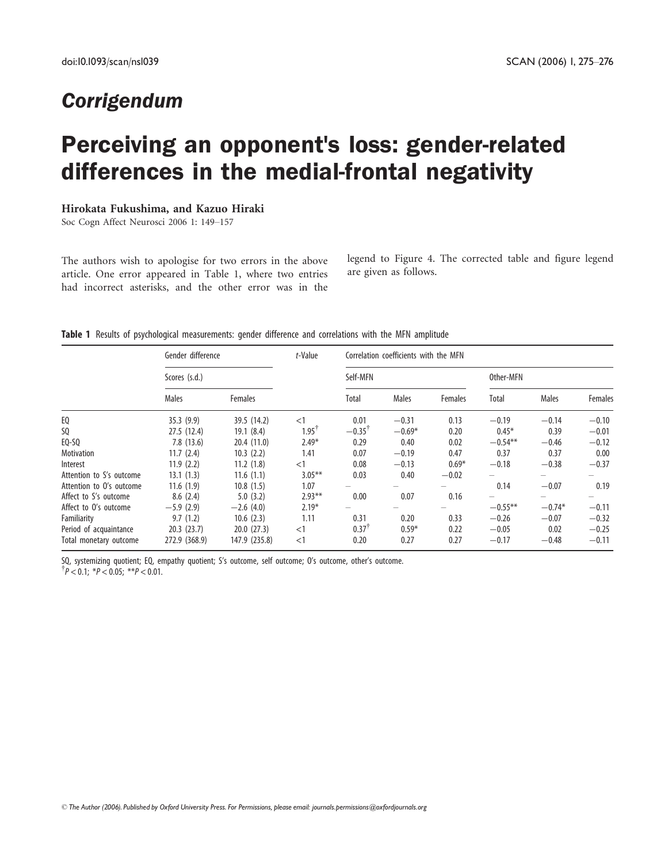# **Corrigendum**

# Perceiving an opponent's loss: gender-related differences in the medial-frontal negativity

# Hirokata Fukushima, and Kazuo Hiraki

Soc Cogn Affect Neurosci 2006 1: 149–157

The authors wish to apologise for two errors in the above article. One error appeared in Table 1, where two entries had incorrect asterisks, and the other error was in the legend to Figure 4. The corrected table and figure legend are given as follows.

Table 1 Results of psychological measurements: gender difference and correlations with the MFN amplitude

|                          | Gender difference<br>Scores (s.d.) |               | t-Value             | Correlation coefficients with the MFN |              |         |           |              |         |  |
|--------------------------|------------------------------------|---------------|---------------------|---------------------------------------|--------------|---------|-----------|--------------|---------|--|
|                          |                                    |               |                     | Self-MFN                              |              |         | Other-MFN |              |         |  |
|                          | <b>Males</b>                       | Females       |                     | Total                                 | <b>Males</b> | Females | Total     | <b>Males</b> | Females |  |
| EQ                       | 35.3(9.9)                          | 39.5 (14.2)   | <1                  | 0.01                                  | $-0.31$      | 0.13    | $-0.19$   | $-0.14$      | $-0.10$ |  |
| SQ                       | 27.5(12.4)                         | 19.1(8.4)     | $1.95$ <sup>T</sup> | $-0.35$ <sup>T</sup>                  | $-0.69*$     | 0.20    | $0.45*$   | 0.39         | $-0.01$ |  |
| EQ-SQ                    | 7.8(13.6)                          | 20.4(11.0)    | $2.49*$             | 0.29                                  | 0.40         | 0.02    | $-0.54**$ | $-0.46$      | $-0.12$ |  |
| <b>Motivation</b>        | 11.7(2.4)                          | 10.3(2.2)     | 1.41                | 0.07                                  | $-0.19$      | 0.47    | 0.37      | 0.37         | 0.00    |  |
| Interest                 | 11.9(2.2)                          | 11.2(1.8)     | <1                  | 0.08                                  | $-0.13$      | $0.69*$ | $-0.18$   | $-0.38$      | $-0.37$ |  |
| Attention to S's outcome | 13.1(1.3)                          | 11.6(1.1)     | $3.05***$           | 0.03                                  | 0.40         | $-0.02$ |           |              |         |  |
| Attention to O's outcome | 11.6(1.9)                          | 10.8(1.5)     | 1.07                |                                       |              |         | 0.14      | $-0.07$      | 0.19    |  |
| Affect to S's outcome    | 8.6(2.4)                           | 5.0(3.2)      | $2.93***$           | 0.00                                  | 0.07         | 0.16    |           |              |         |  |
| Affect to O's outcome    | $-5.9(2.9)$                        | $-2.6(4.0)$   | $2.19*$             |                                       |              |         | $-0.55**$ | $-0.74*$     | $-0.11$ |  |
| Familiarity              | 9.7(1.2)                           | 10.6(2.3)     | 1.11                | 0.31                                  | 0.20         | 0.33    | $-0.26$   | $-0.07$      | $-0.32$ |  |
| Period of acquaintance   | 20.3(23.7)                         | 20.0(27.3)    | <1                  | $0.37$ <sup>T</sup>                   | $0.59*$      | 0.22    | $-0.05$   | 0.02         | $-0.25$ |  |
| Total monetary outcome   | 272.9 (368.9)                      | 147.9 (235.8) | $<$ 1               | 0.20                                  | 0.27         | 0.27    | $-0.17$   | $-0.48$      | $-0.11$ |  |

SQ, systemizing quotient; EQ, empathy quotient; S's outcome, self outcome; O's outcome, other's outcome.

 $\frac{p}{p} < 0.1$ ; \* $p < 0.05$ ; \*\* $p < 0.01$ .